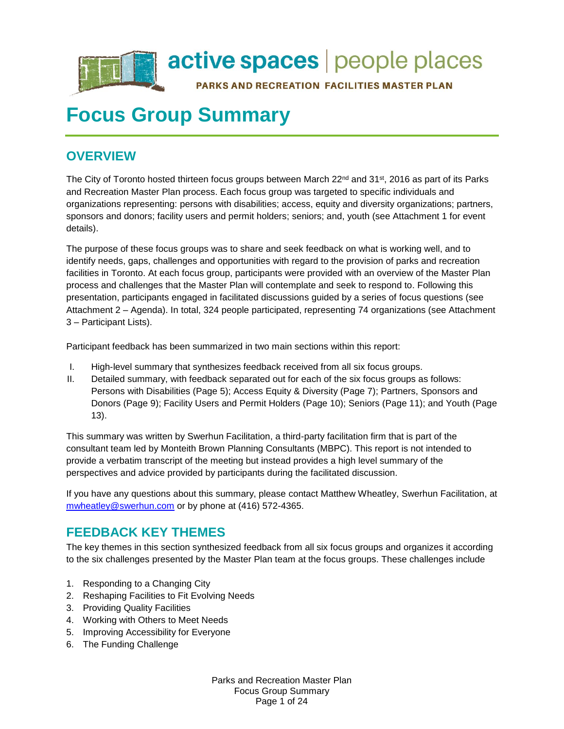

# **Focus Group Summary**

# **OVERVIEW**

The City of Toronto hosted thirteen focus groups between March  $22<sup>nd</sup>$  and  $31<sup>st</sup>$ , 2016 as part of its Parks and Recreation Master Plan process. Each focus group was targeted to specific individuals and organizations representing: persons with disabilities; access, equity and diversity organizations; partners, sponsors and donors; facility users and permit holders; seniors; and, youth (see Attachment 1 for event details).

The purpose of these focus groups was to share and seek feedback on what is working well, and to identify needs, gaps, challenges and opportunities with regard to the provision of parks and recreation facilities in Toronto. At each focus group, participants were provided with an overview of the Master Plan process and challenges that the Master Plan will contemplate and seek to respond to. Following this presentation, participants engaged in facilitated discussions guided by a series of focus questions (see Attachment 2 – Agenda). In total, 324 people participated, representing 74 organizations (see Attachment 3 – Participant Lists).

Participant feedback has been summarized in two main sections within this report:

- I. High-level summary that synthesizes feedback received from all six focus groups.
- II. Detailed summary, with feedback separated out for each of the six focus groups as follows: Persons with Disabilities (Page 5); Access Equity & Diversity (Page 7); Partners, Sponsors and Donors (Page 9); Facility Users and Permit Holders (Page 10); Seniors (Page 11); and Youth (Page 13).

This summary was written by Swerhun Facilitation, a third-party facilitation firm that is part of the consultant team led by Monteith Brown Planning Consultants (MBPC). This report is not intended to provide a verbatim transcript of the meeting but instead provides a high level summary of the perspectives and advice provided by participants during the facilitated discussion.

If you have any questions about this summary, please contact Matthew Wheatley, Swerhun Facilitation, at [mwheatley@swerhun.com](mailto:mwheatley@swerhun.com) or by phone at (416) 572-4365.

# **FEEDBACK KEY THEMES**

The key themes in this section synthesized feedback from all six focus groups and organizes it according to the six challenges presented by the Master Plan team at the focus groups. These challenges include

- 1. Responding to a Changing City
- 2. Reshaping Facilities to Fit Evolving Needs
- 3. Providing Quality Facilities
- 4. Working with Others to Meet Needs
- 5. Improving Accessibility for Everyone
- 6. The Funding Challenge

Parks and Recreation Master Plan Focus Group Summary Page 1 of 24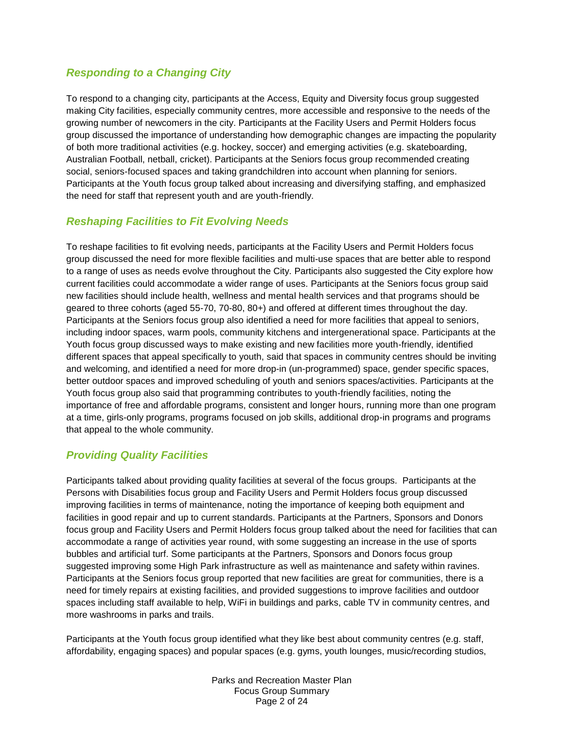# *Responding to a Changing City*

To respond to a changing city, participants at the Access, Equity and Diversity focus group suggested making City facilities, especially community centres, more accessible and responsive to the needs of the growing number of newcomers in the city. Participants at the Facility Users and Permit Holders focus group discussed the importance of understanding how demographic changes are impacting the popularity of both more traditional activities (e.g. hockey, soccer) and emerging activities (e.g. skateboarding, Australian Football, netball, cricket). Participants at the Seniors focus group recommended creating social, seniors-focused spaces and taking grandchildren into account when planning for seniors. Participants at the Youth focus group talked about increasing and diversifying staffing, and emphasized the need for staff that represent youth and are youth-friendly.

## *Reshaping Facilities to Fit Evolving Needs*

To reshape facilities to fit evolving needs, participants at the Facility Users and Permit Holders focus group discussed the need for more flexible facilities and multi-use spaces that are better able to respond to a range of uses as needs evolve throughout the City. Participants also suggested the City explore how current facilities could accommodate a wider range of uses. Participants at the Seniors focus group said new facilities should include health, wellness and mental health services and that programs should be geared to three cohorts (aged 55-70, 70-80, 80+) and offered at different times throughout the day. Participants at the Seniors focus group also identified a need for more facilities that appeal to seniors, including indoor spaces, warm pools, community kitchens and intergenerational space. Participants at the Youth focus group discussed ways to make existing and new facilities more youth-friendly, identified different spaces that appeal specifically to youth, said that spaces in community centres should be inviting and welcoming, and identified a need for more drop-in (un-programmed) space, gender specific spaces, better outdoor spaces and improved scheduling of youth and seniors spaces/activities. Participants at the Youth focus group also said that programming contributes to youth-friendly facilities, noting the importance of free and affordable programs, consistent and longer hours, running more than one program at a time, girls-only programs, programs focused on job skills, additional drop-in programs and programs that appeal to the whole community.

# *Providing Quality Facilities*

Participants talked about providing quality facilities at several of the focus groups. Participants at the Persons with Disabilities focus group and Facility Users and Permit Holders focus group discussed improving facilities in terms of maintenance, noting the importance of keeping both equipment and facilities in good repair and up to current standards. Participants at the Partners, Sponsors and Donors focus group and Facility Users and Permit Holders focus group talked about the need for facilities that can accommodate a range of activities year round, with some suggesting an increase in the use of sports bubbles and artificial turf. Some participants at the Partners, Sponsors and Donors focus group suggested improving some High Park infrastructure as well as maintenance and safety within ravines. Participants at the Seniors focus group reported that new facilities are great for communities, there is a need for timely repairs at existing facilities, and provided suggestions to improve facilities and outdoor spaces including staff available to help, WiFi in buildings and parks, cable TV in community centres, and more washrooms in parks and trails.

Participants at the Youth focus group identified what they like best about community centres (e.g. staff, affordability, engaging spaces) and popular spaces (e.g. gyms, youth lounges, music/recording studios,

> Parks and Recreation Master Plan Focus Group Summary Page 2 of 24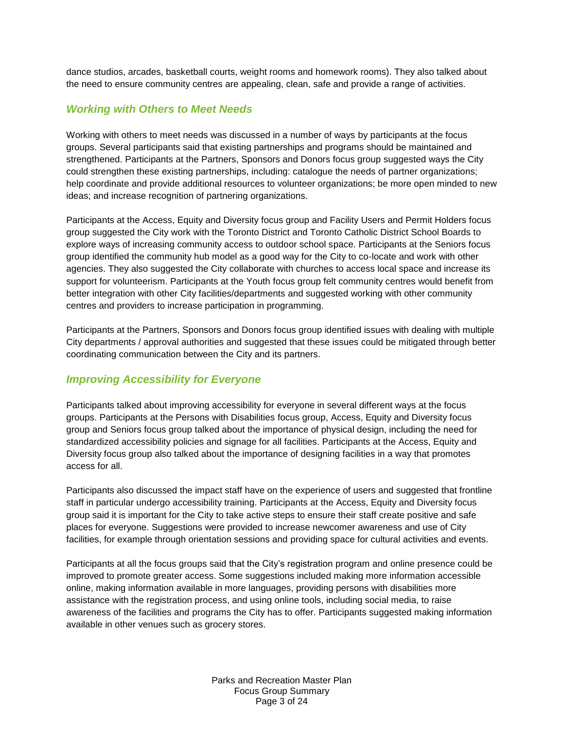dance studios, arcades, basketball courts, weight rooms and homework rooms). They also talked about the need to ensure community centres are appealing, clean, safe and provide a range of activities.

### *Working with Others to Meet Needs*

Working with others to meet needs was discussed in a number of ways by participants at the focus groups. Several participants said that existing partnerships and programs should be maintained and strengthened. Participants at the Partners, Sponsors and Donors focus group suggested ways the City could strengthen these existing partnerships, including: catalogue the needs of partner organizations; help coordinate and provide additional resources to volunteer organizations; be more open minded to new ideas; and increase recognition of partnering organizations.

Participants at the Access, Equity and Diversity focus group and Facility Users and Permit Holders focus group suggested the City work with the Toronto District and Toronto Catholic District School Boards to explore ways of increasing community access to outdoor school space. Participants at the Seniors focus group identified the community hub model as a good way for the City to co-locate and work with other agencies. They also suggested the City collaborate with churches to access local space and increase its support for volunteerism. Participants at the Youth focus group felt community centres would benefit from better integration with other City facilities/departments and suggested working with other community centres and providers to increase participation in programming.

Participants at the Partners, Sponsors and Donors focus group identified issues with dealing with multiple City departments / approval authorities and suggested that these issues could be mitigated through better coordinating communication between the City and its partners.

## *Improving Accessibility for Everyone*

Participants talked about improving accessibility for everyone in several different ways at the focus groups. Participants at the Persons with Disabilities focus group, Access, Equity and Diversity focus group and Seniors focus group talked about the importance of physical design, including the need for standardized accessibility policies and signage for all facilities. Participants at the Access, Equity and Diversity focus group also talked about the importance of designing facilities in a way that promotes access for all.

Participants also discussed the impact staff have on the experience of users and suggested that frontline staff in particular undergo accessibility training. Participants at the Access, Equity and Diversity focus group said it is important for the City to take active steps to ensure their staff create positive and safe places for everyone. Suggestions were provided to increase newcomer awareness and use of City facilities, for example through orientation sessions and providing space for cultural activities and events.

Participants at all the focus groups said that the City's registration program and online presence could be improved to promote greater access. Some suggestions included making more information accessible online, making information available in more languages, providing persons with disabilities more assistance with the registration process, and using online tools, including social media, to raise awareness of the facilities and programs the City has to offer. Participants suggested making information available in other venues such as grocery stores.

> Parks and Recreation Master Plan Focus Group Summary Page 3 of 24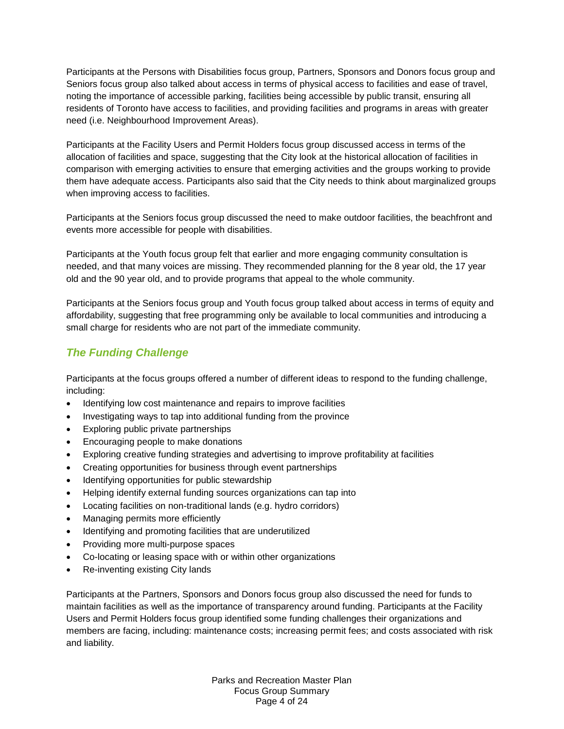Participants at the Persons with Disabilities focus group, Partners, Sponsors and Donors focus group and Seniors focus group also talked about access in terms of physical access to facilities and ease of travel, noting the importance of accessible parking, facilities being accessible by public transit, ensuring all residents of Toronto have access to facilities, and providing facilities and programs in areas with greater need (i.e. Neighbourhood Improvement Areas).

Participants at the Facility Users and Permit Holders focus group discussed access in terms of the allocation of facilities and space, suggesting that the City look at the historical allocation of facilities in comparison with emerging activities to ensure that emerging activities and the groups working to provide them have adequate access. Participants also said that the City needs to think about marginalized groups when improving access to facilities.

Participants at the Seniors focus group discussed the need to make outdoor facilities, the beachfront and events more accessible for people with disabilities.

Participants at the Youth focus group felt that earlier and more engaging community consultation is needed, and that many voices are missing. They recommended planning for the 8 year old, the 17 year old and the 90 year old, and to provide programs that appeal to the whole community.

Participants at the Seniors focus group and Youth focus group talked about access in terms of equity and affordability, suggesting that free programming only be available to local communities and introducing a small charge for residents who are not part of the immediate community.

# *The Funding Challenge*

Participants at the focus groups offered a number of different ideas to respond to the funding challenge, including:

- Identifying low cost maintenance and repairs to improve facilities
- Investigating ways to tap into additional funding from the province
- Exploring public private partnerships
- Encouraging people to make donations
- Exploring creative funding strategies and advertising to improve profitability at facilities
- Creating opportunities for business through event partnerships
- Identifying opportunities for public stewardship
- Helping identify external funding sources organizations can tap into
- Locating facilities on non-traditional lands (e.g. hydro corridors)
- Managing permits more efficiently
- Identifying and promoting facilities that are underutilized
- Providing more multi-purpose spaces
- Co-locating or leasing space with or within other organizations
- Re-inventing existing City lands

Participants at the Partners, Sponsors and Donors focus group also discussed the need for funds to maintain facilities as well as the importance of transparency around funding. Participants at the Facility Users and Permit Holders focus group identified some funding challenges their organizations and members are facing, including: maintenance costs; increasing permit fees; and costs associated with risk and liability.

> Parks and Recreation Master Plan Focus Group Summary Page 4 of 24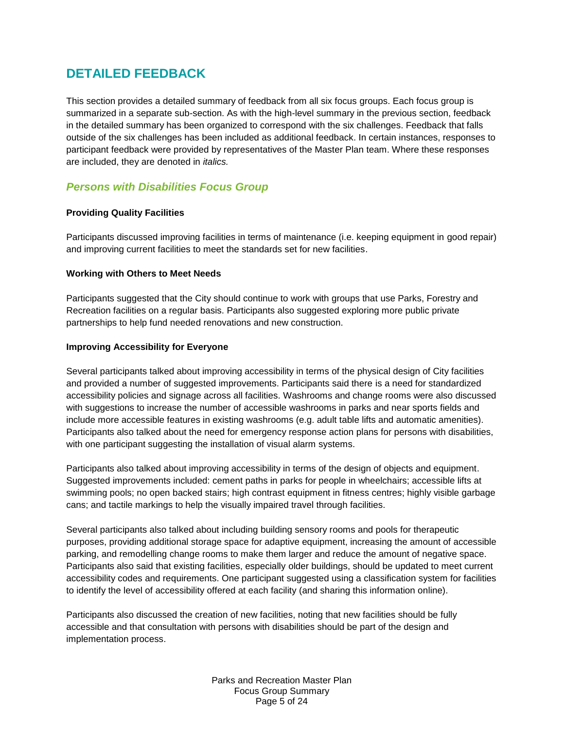# **DETAILED FEEDBACK**

This section provides a detailed summary of feedback from all six focus groups. Each focus group is summarized in a separate sub-section. As with the high-level summary in the previous section, feedback in the detailed summary has been organized to correspond with the six challenges. Feedback that falls outside of the six challenges has been included as additional feedback. In certain instances, responses to participant feedback were provided by representatives of the Master Plan team. Where these responses are included, they are denoted in *italics.*

# *Persons with Disabilities Focus Group*

#### **Providing Quality Facilities**

Participants discussed improving facilities in terms of maintenance (i.e. keeping equipment in good repair) and improving current facilities to meet the standards set for new facilities.

#### **Working with Others to Meet Needs**

Participants suggested that the City should continue to work with groups that use Parks, Forestry and Recreation facilities on a regular basis. Participants also suggested exploring more public private partnerships to help fund needed renovations and new construction.

#### **Improving Accessibility for Everyone**

Several participants talked about improving accessibility in terms of the physical design of City facilities and provided a number of suggested improvements. Participants said there is a need for standardized accessibility policies and signage across all facilities. Washrooms and change rooms were also discussed with suggestions to increase the number of accessible washrooms in parks and near sports fields and include more accessible features in existing washrooms (e.g. adult table lifts and automatic amenities). Participants also talked about the need for emergency response action plans for persons with disabilities, with one participant suggesting the installation of visual alarm systems.

Participants also talked about improving accessibility in terms of the design of objects and equipment. Suggested improvements included: cement paths in parks for people in wheelchairs; accessible lifts at swimming pools; no open backed stairs; high contrast equipment in fitness centres; highly visible garbage cans; and tactile markings to help the visually impaired travel through facilities.

Several participants also talked about including building sensory rooms and pools for therapeutic purposes, providing additional storage space for adaptive equipment, increasing the amount of accessible parking, and remodelling change rooms to make them larger and reduce the amount of negative space. Participants also said that existing facilities, especially older buildings, should be updated to meet current accessibility codes and requirements. One participant suggested using a classification system for facilities to identify the level of accessibility offered at each facility (and sharing this information online).

Participants also discussed the creation of new facilities, noting that new facilities should be fully accessible and that consultation with persons with disabilities should be part of the design and implementation process.

> Parks and Recreation Master Plan Focus Group Summary Page 5 of 24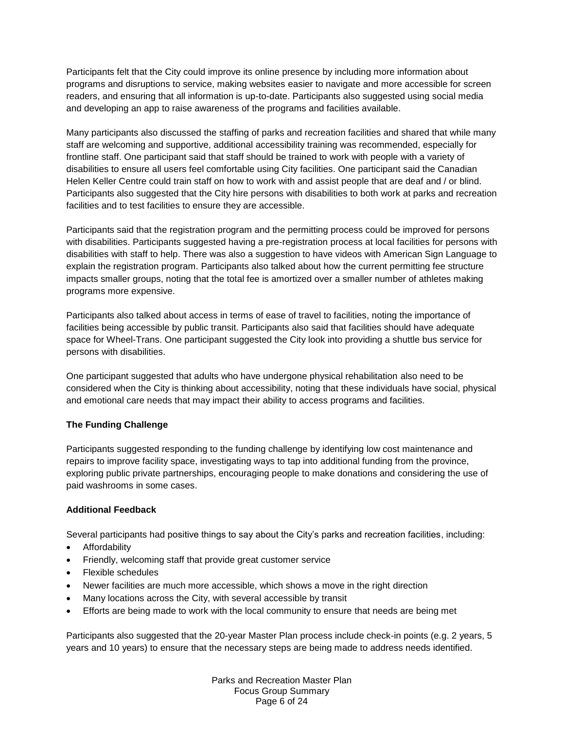Participants felt that the City could improve its online presence by including more information about programs and disruptions to service, making websites easier to navigate and more accessible for screen readers, and ensuring that all information is up-to-date. Participants also suggested using social media and developing an app to raise awareness of the programs and facilities available.

Many participants also discussed the staffing of parks and recreation facilities and shared that while many staff are welcoming and supportive, additional accessibility training was recommended, especially for frontline staff. One participant said that staff should be trained to work with people with a variety of disabilities to ensure all users feel comfortable using City facilities. One participant said the Canadian Helen Keller Centre could train staff on how to work with and assist people that are deaf and / or blind. Participants also suggested that the City hire persons with disabilities to both work at parks and recreation facilities and to test facilities to ensure they are accessible.

Participants said that the registration program and the permitting process could be improved for persons with disabilities. Participants suggested having a pre-registration process at local facilities for persons with disabilities with staff to help. There was also a suggestion to have videos with American Sign Language to explain the registration program. Participants also talked about how the current permitting fee structure impacts smaller groups, noting that the total fee is amortized over a smaller number of athletes making programs more expensive.

Participants also talked about access in terms of ease of travel to facilities, noting the importance of facilities being accessible by public transit. Participants also said that facilities should have adequate space for Wheel-Trans. One participant suggested the City look into providing a shuttle bus service for persons with disabilities.

One participant suggested that adults who have undergone physical rehabilitation also need to be considered when the City is thinking about accessibility, noting that these individuals have social, physical and emotional care needs that may impact their ability to access programs and facilities.

#### **The Funding Challenge**

Participants suggested responding to the funding challenge by identifying low cost maintenance and repairs to improve facility space, investigating ways to tap into additional funding from the province, exploring public private partnerships, encouraging people to make donations and considering the use of paid washrooms in some cases.

#### **Additional Feedback**

Several participants had positive things to say about the City's parks and recreation facilities, including:

- **•** Affordability
- Friendly, welcoming staff that provide great customer service
- Flexible schedules
- Newer facilities are much more accessible, which shows a move in the right direction
- Many locations across the City, with several accessible by transit
- Efforts are being made to work with the local community to ensure that needs are being met

Participants also suggested that the 20-year Master Plan process include check-in points (e.g. 2 years, 5 years and 10 years) to ensure that the necessary steps are being made to address needs identified.

> Parks and Recreation Master Plan Focus Group Summary Page 6 of 24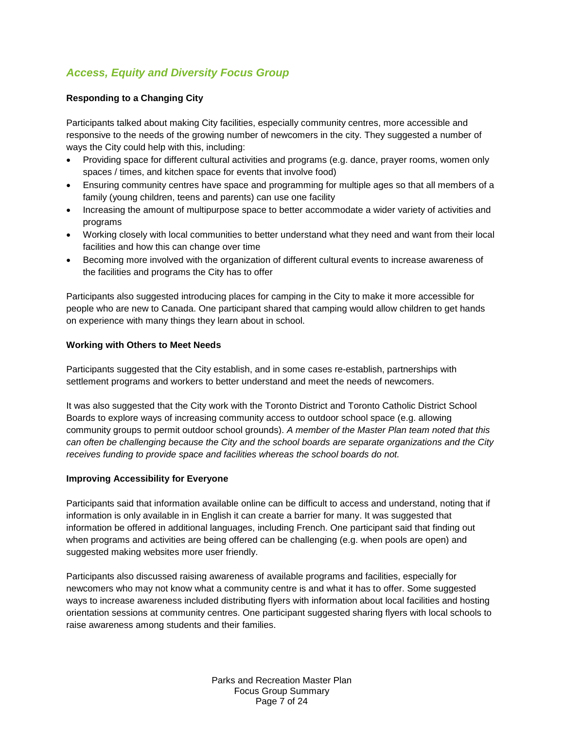# *Access, Equity and Diversity Focus Group*

#### **Responding to a Changing City**

Participants talked about making City facilities, especially community centres, more accessible and responsive to the needs of the growing number of newcomers in the city. They suggested a number of ways the City could help with this, including:

- Providing space for different cultural activities and programs (e.g. dance, prayer rooms, women only spaces / times, and kitchen space for events that involve food)
- Ensuring community centres have space and programming for multiple ages so that all members of a family (young children, teens and parents) can use one facility
- Increasing the amount of multipurpose space to better accommodate a wider variety of activities and programs
- Working closely with local communities to better understand what they need and want from their local facilities and how this can change over time
- Becoming more involved with the organization of different cultural events to increase awareness of the facilities and programs the City has to offer

Participants also suggested introducing places for camping in the City to make it more accessible for people who are new to Canada. One participant shared that camping would allow children to get hands on experience with many things they learn about in school.

#### **Working with Others to Meet Needs**

Participants suggested that the City establish, and in some cases re-establish, partnerships with settlement programs and workers to better understand and meet the needs of newcomers.

It was also suggested that the City work with the Toronto District and Toronto Catholic District School Boards to explore ways of increasing community access to outdoor school space (e.g. allowing community groups to permit outdoor school grounds). *A member of the Master Plan team noted that this can often be challenging because the City and the school boards are separate organizations and the City receives funding to provide space and facilities whereas the school boards do not.* 

#### **Improving Accessibility for Everyone**

Participants said that information available online can be difficult to access and understand, noting that if information is only available in in English it can create a barrier for many. It was suggested that information be offered in additional languages, including French. One participant said that finding out when programs and activities are being offered can be challenging (e.g. when pools are open) and suggested making websites more user friendly.

Participants also discussed raising awareness of available programs and facilities, especially for newcomers who may not know what a community centre is and what it has to offer. Some suggested ways to increase awareness included distributing flyers with information about local facilities and hosting orientation sessions at community centres. One participant suggested sharing flyers with local schools to raise awareness among students and their families.

> Parks and Recreation Master Plan Focus Group Summary Page 7 of 24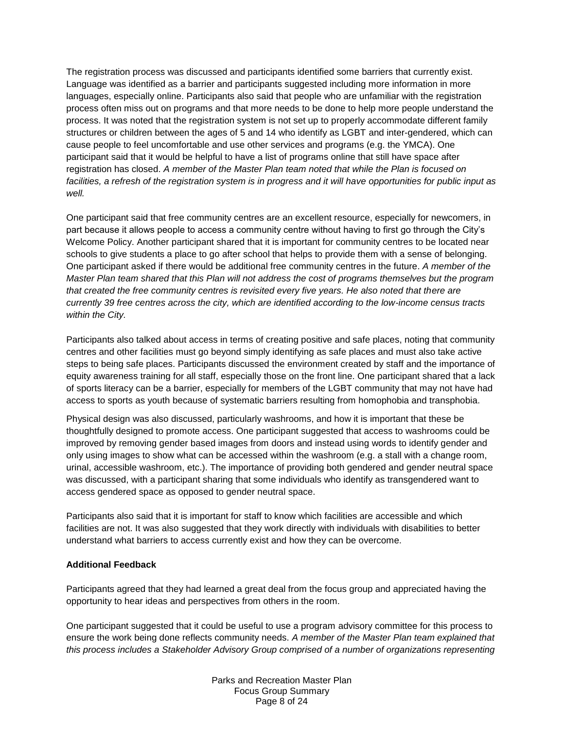The registration process was discussed and participants identified some barriers that currently exist. Language was identified as a barrier and participants suggested including more information in more languages, especially online. Participants also said that people who are unfamiliar with the registration process often miss out on programs and that more needs to be done to help more people understand the process. It was noted that the registration system is not set up to properly accommodate different family structures or children between the ages of 5 and 14 who identify as LGBT and inter-gendered, which can cause people to feel uncomfortable and use other services and programs (e.g. the YMCA). One participant said that it would be helpful to have a list of programs online that still have space after registration has closed. *A member of the Master Plan team noted that while the Plan is focused on*  facilities, a refresh of the registration system is in progress and it will have opportunities for public input as *well.*

One participant said that free community centres are an excellent resource, especially for newcomers, in part because it allows people to access a community centre without having to first go through the City's Welcome Policy. Another participant shared that it is important for community centres to be located near schools to give students a place to go after school that helps to provide them with a sense of belonging. One participant asked if there would be additional free community centres in the future. *A member of the Master Plan team shared that this Plan will not address the cost of programs themselves but the program that created the free community centres is revisited every five years. He also noted that there are currently 39 free centres across the city, which are identified according to the low-income census tracts within the City.*

Participants also talked about access in terms of creating positive and safe places, noting that community centres and other facilities must go beyond simply identifying as safe places and must also take active steps to being safe places. Participants discussed the environment created by staff and the importance of equity awareness training for all staff, especially those on the front line. One participant shared that a lack of sports literacy can be a barrier, especially for members of the LGBT community that may not have had access to sports as youth because of systematic barriers resulting from homophobia and transphobia.

Physical design was also discussed, particularly washrooms, and how it is important that these be thoughtfully designed to promote access. One participant suggested that access to washrooms could be improved by removing gender based images from doors and instead using words to identify gender and only using images to show what can be accessed within the washroom (e.g. a stall with a change room, urinal, accessible washroom, etc.). The importance of providing both gendered and gender neutral space was discussed, with a participant sharing that some individuals who identify as transgendered want to access gendered space as opposed to gender neutral space.

Participants also said that it is important for staff to know which facilities are accessible and which facilities are not. It was also suggested that they work directly with individuals with disabilities to better understand what barriers to access currently exist and how they can be overcome.

#### **Additional Feedback**

Participants agreed that they had learned a great deal from the focus group and appreciated having the opportunity to hear ideas and perspectives from others in the room.

One participant suggested that it could be useful to use a program advisory committee for this process to ensure the work being done reflects community needs. *A member of the Master Plan team explained that this process includes a Stakeholder Advisory Group comprised of a number of organizations representing* 

> Parks and Recreation Master Plan Focus Group Summary Page 8 of 24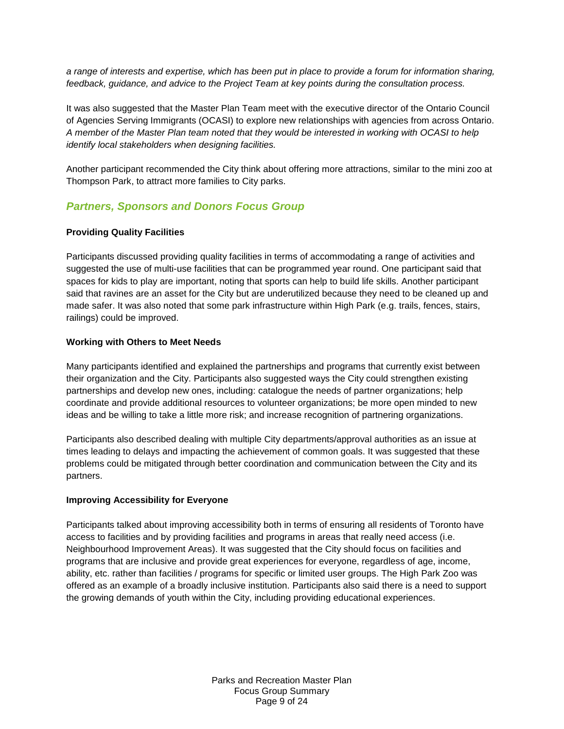*a range of interests and expertise, which has been put in place to provide a forum for information sharing, feedback, guidance, and advice to the Project Team at key points during the consultation process.*

It was also suggested that the Master Plan Team meet with the executive director of the Ontario Council of Agencies Serving Immigrants (OCASI) to explore new relationships with agencies from across Ontario. *A member of the Master Plan team noted that they would be interested in working with OCASI to help identify local stakeholders when designing facilities.*

Another participant recommended the City think about offering more attractions, similar to the mini zoo at Thompson Park, to attract more families to City parks.

## *Partners, Sponsors and Donors Focus Group*

#### **Providing Quality Facilities**

Participants discussed providing quality facilities in terms of accommodating a range of activities and suggested the use of multi-use facilities that can be programmed year round. One participant said that spaces for kids to play are important, noting that sports can help to build life skills. Another participant said that ravines are an asset for the City but are underutilized because they need to be cleaned up and made safer. It was also noted that some park infrastructure within High Park (e.g. trails, fences, stairs, railings) could be improved.

#### **Working with Others to Meet Needs**

Many participants identified and explained the partnerships and programs that currently exist between their organization and the City. Participants also suggested ways the City could strengthen existing partnerships and develop new ones, including: catalogue the needs of partner organizations; help coordinate and provide additional resources to volunteer organizations; be more open minded to new ideas and be willing to take a little more risk; and increase recognition of partnering organizations.

Participants also described dealing with multiple City departments/approval authorities as an issue at times leading to delays and impacting the achievement of common goals. It was suggested that these problems could be mitigated through better coordination and communication between the City and its partners.

#### **Improving Accessibility for Everyone**

Participants talked about improving accessibility both in terms of ensuring all residents of Toronto have access to facilities and by providing facilities and programs in areas that really need access (i.e. Neighbourhood Improvement Areas). It was suggested that the City should focus on facilities and programs that are inclusive and provide great experiences for everyone, regardless of age, income, ability, etc. rather than facilities / programs for specific or limited user groups. The High Park Zoo was offered as an example of a broadly inclusive institution. Participants also said there is a need to support the growing demands of youth within the City, including providing educational experiences.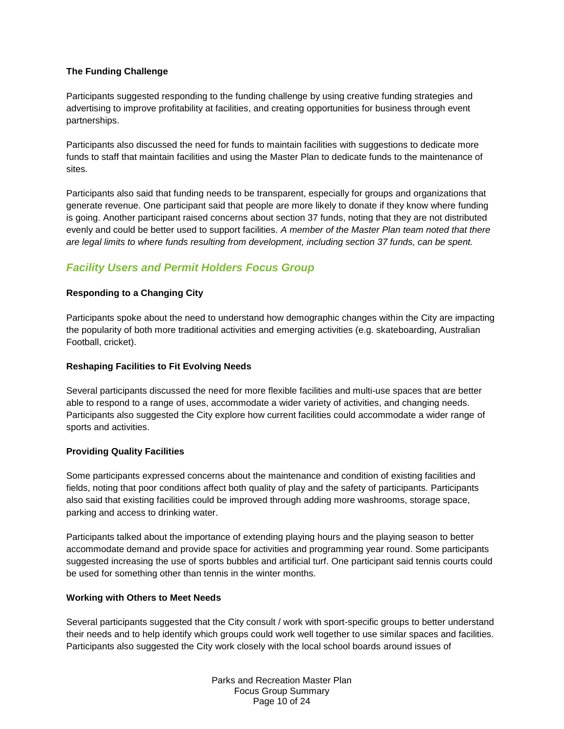#### **The Funding Challenge**

Participants suggested responding to the funding challenge by using creative funding strategies and advertising to improve profitability at facilities, and creating opportunities for business through event partnerships.

Participants also discussed the need for funds to maintain facilities with suggestions to dedicate more funds to staff that maintain facilities and using the Master Plan to dedicate funds to the maintenance of sites.

Participants also said that funding needs to be transparent, especially for groups and organizations that generate revenue. One participant said that people are more likely to donate if they know where funding is going. Another participant raised concerns about section 37 funds, noting that they are not distributed evenly and could be better used to support facilities. *A member of the Master Plan team noted that there are legal limits to where funds resulting from development, including section 37 funds, can be spent.*

# *Facility Users and Permit Holders Focus Group*

#### **Responding to a Changing City**

Participants spoke about the need to understand how demographic changes within the City are impacting the popularity of both more traditional activities and emerging activities (e.g. skateboarding, Australian Football, cricket).

#### **Reshaping Facilities to Fit Evolving Needs**

Several participants discussed the need for more flexible facilities and multi-use spaces that are better able to respond to a range of uses, accommodate a wider variety of activities, and changing needs. Participants also suggested the City explore how current facilities could accommodate a wider range of sports and activities.

#### **Providing Quality Facilities**

Some participants expressed concerns about the maintenance and condition of existing facilities and fields, noting that poor conditions affect both quality of play and the safety of participants. Participants also said that existing facilities could be improved through adding more washrooms, storage space, parking and access to drinking water.

Participants talked about the importance of extending playing hours and the playing season to better accommodate demand and provide space for activities and programming year round. Some participants suggested increasing the use of sports bubbles and artificial turf. One participant said tennis courts could be used for something other than tennis in the winter months.

#### **Working with Others to Meet Needs**

Several participants suggested that the City consult / work with sport-specific groups to better understand their needs and to help identify which groups could work well together to use similar spaces and facilities. Participants also suggested the City work closely with the local school boards around issues of

> Parks and Recreation Master Plan Focus Group Summary Page 10 of 24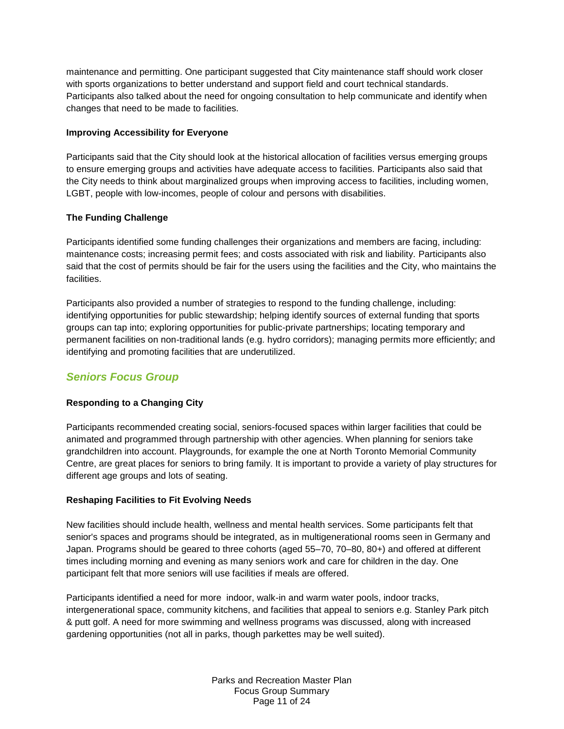maintenance and permitting. One participant suggested that City maintenance staff should work closer with sports organizations to better understand and support field and court technical standards. Participants also talked about the need for ongoing consultation to help communicate and identify when changes that need to be made to facilities.

#### **Improving Accessibility for Everyone**

Participants said that the City should look at the historical allocation of facilities versus emerging groups to ensure emerging groups and activities have adequate access to facilities. Participants also said that the City needs to think about marginalized groups when improving access to facilities, including women, LGBT, people with low-incomes, people of colour and persons with disabilities.

#### **The Funding Challenge**

Participants identified some funding challenges their organizations and members are facing, including: maintenance costs; increasing permit fees; and costs associated with risk and liability. Participants also said that the cost of permits should be fair for the users using the facilities and the City, who maintains the facilities.

Participants also provided a number of strategies to respond to the funding challenge, including: identifying opportunities for public stewardship; helping identify sources of external funding that sports groups can tap into; exploring opportunities for public-private partnerships; locating temporary and permanent facilities on non-traditional lands (e.g. hydro corridors); managing permits more efficiently; and identifying and promoting facilities that are underutilized.

## *Seniors Focus Group*

### **Responding to a Changing City**

Participants recommended creating social, seniors-focused spaces within larger facilities that could be animated and programmed through partnership with other agencies. When planning for seniors take grandchildren into account. Playgrounds, for example the one at North Toronto Memorial Community Centre, are great places for seniors to bring family. It is important to provide a variety of play structures for different age groups and lots of seating.

#### **Reshaping Facilities to Fit Evolving Needs**

New facilities should include health, wellness and mental health services. Some participants felt that senior's spaces and programs should be integrated, as in multigenerational rooms seen in Germany and Japan. Programs should be geared to three cohorts (aged 55–70, 70–80, 80+) and offered at different times including morning and evening as many seniors work and care for children in the day. One participant felt that more seniors will use facilities if meals are offered.

Participants identified a need for more indoor, walk-in and warm water pools, indoor tracks, intergenerational space, community kitchens, and facilities that appeal to seniors e.g. Stanley Park pitch & putt golf. A need for more swimming and wellness programs was discussed, along with increased gardening opportunities (not all in parks, though parkettes may be well suited).

> Parks and Recreation Master Plan Focus Group Summary Page 11 of 24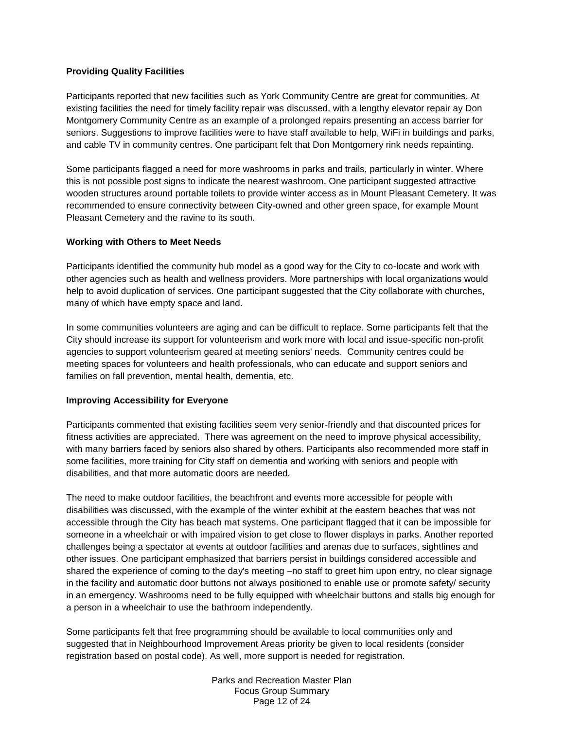#### **Providing Quality Facilities**

Participants reported that new facilities such as York Community Centre are great for communities. At existing facilities the need for timely facility repair was discussed, with a lengthy elevator repair ay Don Montgomery Community Centre as an example of a prolonged repairs presenting an access barrier for seniors. Suggestions to improve facilities were to have staff available to help, WiFi in buildings and parks, and cable TV in community centres. One participant felt that Don Montgomery rink needs repainting.

Some participants flagged a need for more washrooms in parks and trails, particularly in winter. Where this is not possible post signs to indicate the nearest washroom. One participant suggested attractive wooden structures around portable toilets to provide winter access as in Mount Pleasant Cemetery. It was recommended to ensure connectivity between City-owned and other green space, for example Mount Pleasant Cemetery and the ravine to its south.

#### **Working with Others to Meet Needs**

Participants identified the community hub model as a good way for the City to co-locate and work with other agencies such as health and wellness providers. More partnerships with local organizations would help to avoid duplication of services. One participant suggested that the City collaborate with churches, many of which have empty space and land.

In some communities volunteers are aging and can be difficult to replace. Some participants felt that the City should increase its support for volunteerism and work more with local and issue-specific non-profit agencies to support volunteerism geared at meeting seniors' needs. Community centres could be meeting spaces for volunteers and health professionals, who can educate and support seniors and families on fall prevention, mental health, dementia, etc.

#### **Improving Accessibility for Everyone**

Participants commented that existing facilities seem very senior-friendly and that discounted prices for fitness activities are appreciated. There was agreement on the need to improve physical accessibility, with many barriers faced by seniors also shared by others. Participants also recommended more staff in some facilities, more training for City staff on dementia and working with seniors and people with disabilities, and that more automatic doors are needed.

The need to make outdoor facilities, the beachfront and events more accessible for people with disabilities was discussed, with the example of the winter exhibit at the eastern beaches that was not accessible through the City has beach mat systems. One participant flagged that it can be impossible for someone in a wheelchair or with impaired vision to get close to flower displays in parks. Another reported challenges being a spectator at events at outdoor facilities and arenas due to surfaces, sightlines and other issues. One participant emphasized that barriers persist in buildings considered accessible and shared the experience of coming to the day's meeting –no staff to greet him upon entry, no clear signage in the facility and automatic door buttons not always positioned to enable use or promote safety/ security in an emergency. Washrooms need to be fully equipped with wheelchair buttons and stalls big enough for a person in a wheelchair to use the bathroom independently.

Some participants felt that free programming should be available to local communities only and suggested that in Neighbourhood Improvement Areas priority be given to local residents (consider registration based on postal code). As well, more support is needed for registration.

> Parks and Recreation Master Plan Focus Group Summary Page 12 of 24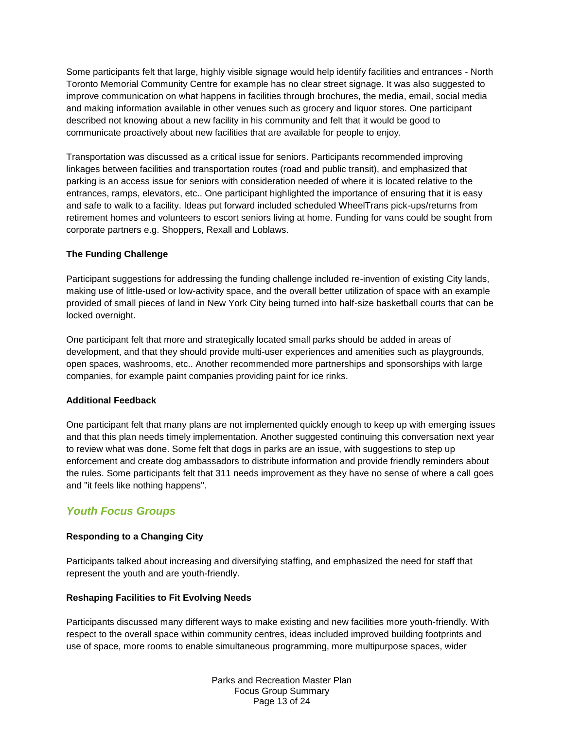Some participants felt that large, highly visible signage would help identify facilities and entrances - North Toronto Memorial Community Centre for example has no clear street signage. It was also suggested to improve communication on what happens in facilities through brochures, the media, email, social media and making information available in other venues such as grocery and liquor stores. One participant described not knowing about a new facility in his community and felt that it would be good to communicate proactively about new facilities that are available for people to enjoy.

Transportation was discussed as a critical issue for seniors. Participants recommended improving linkages between facilities and transportation routes (road and public transit), and emphasized that parking is an access issue for seniors with consideration needed of where it is located relative to the entrances, ramps, elevators, etc.. One participant highlighted the importance of ensuring that it is easy and safe to walk to a facility. Ideas put forward included scheduled WheelTrans pick-ups/returns from retirement homes and volunteers to escort seniors living at home. Funding for vans could be sought from corporate partners e.g. Shoppers, Rexall and Loblaws.

#### **The Funding Challenge**

Participant suggestions for addressing the funding challenge included re-invention of existing City lands, making use of little-used or low-activity space, and the overall better utilization of space with an example provided of small pieces of land in New York City being turned into half-size basketball courts that can be locked overnight.

One participant felt that more and strategically located small parks should be added in areas of development, and that they should provide multi-user experiences and amenities such as playgrounds, open spaces, washrooms, etc.. Another recommended more partnerships and sponsorships with large companies, for example paint companies providing paint for ice rinks.

#### **Additional Feedback**

One participant felt that many plans are not implemented quickly enough to keep up with emerging issues and that this plan needs timely implementation. Another suggested continuing this conversation next year to review what was done. Some felt that dogs in parks are an issue, with suggestions to step up enforcement and create dog ambassadors to distribute information and provide friendly reminders about the rules. Some participants felt that 311 needs improvement as they have no sense of where a call goes and "it feels like nothing happens".

## *Youth Focus Groups*

#### **Responding to a Changing City**

Participants talked about increasing and diversifying staffing, and emphasized the need for staff that represent the youth and are youth-friendly.

#### **Reshaping Facilities to Fit Evolving Needs**

Participants discussed many different ways to make existing and new facilities more youth-friendly. With respect to the overall space within community centres, ideas included improved building footprints and use of space, more rooms to enable simultaneous programming, more multipurpose spaces, wider

> Parks and Recreation Master Plan Focus Group Summary Page 13 of 24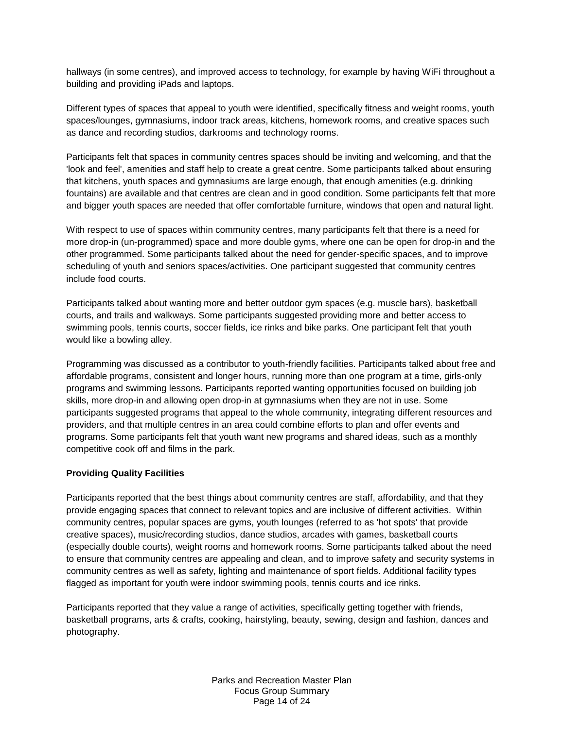hallways (in some centres), and improved access to technology, for example by having WiFi throughout a building and providing iPads and laptops.

Different types of spaces that appeal to youth were identified, specifically fitness and weight rooms, youth spaces/lounges, gymnasiums, indoor track areas, kitchens, homework rooms, and creative spaces such as dance and recording studios, darkrooms and technology rooms.

Participants felt that spaces in community centres spaces should be inviting and welcoming, and that the 'look and feel', amenities and staff help to create a great centre. Some participants talked about ensuring that kitchens, youth spaces and gymnasiums are large enough, that enough amenities (e.g. drinking fountains) are available and that centres are clean and in good condition. Some participants felt that more and bigger youth spaces are needed that offer comfortable furniture, windows that open and natural light.

With respect to use of spaces within community centres, many participants felt that there is a need for more drop-in (un-programmed) space and more double gyms, where one can be open for drop-in and the other programmed. Some participants talked about the need for gender-specific spaces, and to improve scheduling of youth and seniors spaces/activities. One participant suggested that community centres include food courts.

Participants talked about wanting more and better outdoor gym spaces (e.g. muscle bars), basketball courts, and trails and walkways. Some participants suggested providing more and better access to swimming pools, tennis courts, soccer fields, ice rinks and bike parks. One participant felt that youth would like a bowling alley.

Programming was discussed as a contributor to youth-friendly facilities. Participants talked about free and affordable programs, consistent and longer hours, running more than one program at a time, girls-only programs and swimming lessons. Participants reported wanting opportunities focused on building job skills, more drop-in and allowing open drop-in at gymnasiums when they are not in use. Some participants suggested programs that appeal to the whole community, integrating different resources and providers, and that multiple centres in an area could combine efforts to plan and offer events and programs. Some participants felt that youth want new programs and shared ideas, such as a monthly competitive cook off and films in the park.

#### **Providing Quality Facilities**

Participants reported that the best things about community centres are staff, affordability, and that they provide engaging spaces that connect to relevant topics and are inclusive of different activities. Within community centres, popular spaces are gyms, youth lounges (referred to as 'hot spots' that provide creative spaces), music/recording studios, dance studios, arcades with games, basketball courts (especially double courts), weight rooms and homework rooms. Some participants talked about the need to ensure that community centres are appealing and clean, and to improve safety and security systems in community centres as well as safety, lighting and maintenance of sport fields. Additional facility types flagged as important for youth were indoor swimming pools, tennis courts and ice rinks.

Participants reported that they value a range of activities, specifically getting together with friends, basketball programs, arts & crafts, cooking, hairstyling, beauty, sewing, design and fashion, dances and photography.

> Parks and Recreation Master Plan Focus Group Summary Page 14 of 24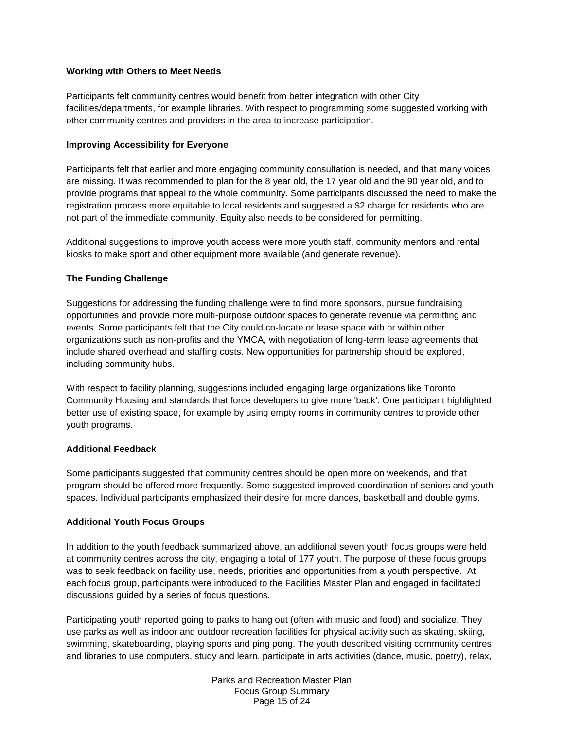#### **Working with Others to Meet Needs**

Participants felt community centres would benefit from better integration with other City facilities/departments, for example libraries. With respect to programming some suggested working with other community centres and providers in the area to increase participation.

#### **Improving Accessibility for Everyone**

Participants felt that earlier and more engaging community consultation is needed, and that many voices are missing. It was recommended to plan for the 8 year old, the 17 year old and the 90 year old, and to provide programs that appeal to the whole community. Some participants discussed the need to make the registration process more equitable to local residents and suggested a \$2 charge for residents who are not part of the immediate community. Equity also needs to be considered for permitting.

Additional suggestions to improve youth access were more youth staff, community mentors and rental kiosks to make sport and other equipment more available (and generate revenue).

#### **The Funding Challenge**

Suggestions for addressing the funding challenge were to find more sponsors, pursue fundraising opportunities and provide more multi-purpose outdoor spaces to generate revenue via permitting and events. Some participants felt that the City could co-locate or lease space with or within other organizations such as non-profits and the YMCA, with negotiation of long-term lease agreements that include shared overhead and staffing costs. New opportunities for partnership should be explored, including community hubs.

With respect to facility planning, suggestions included engaging large organizations like Toronto Community Housing and standards that force developers to give more 'back'. One participant highlighted better use of existing space, for example by using empty rooms in community centres to provide other youth programs.

#### **Additional Feedback**

Some participants suggested that community centres should be open more on weekends, and that program should be offered more frequently. Some suggested improved coordination of seniors and youth spaces. Individual participants emphasized their desire for more dances, basketball and double gyms.

#### **Additional Youth Focus Groups**

In addition to the youth feedback summarized above, an additional seven youth focus groups were held at community centres across the city, engaging a total of 177 youth. The purpose of these focus groups was to seek feedback on facility use, needs, priorities and opportunities from a youth perspective. At each focus group, participants were introduced to the Facilities Master Plan and engaged in facilitated discussions guided by a series of focus questions.

Participating youth reported going to parks to hang out (often with music and food) and socialize. They use parks as well as indoor and outdoor recreation facilities for physical activity such as skating, skiing, swimming, skateboarding, playing sports and ping pong. The youth described visiting community centres and libraries to use computers, study and learn, participate in arts activities (dance, music, poetry), relax,

> Parks and Recreation Master Plan Focus Group Summary Page 15 of 24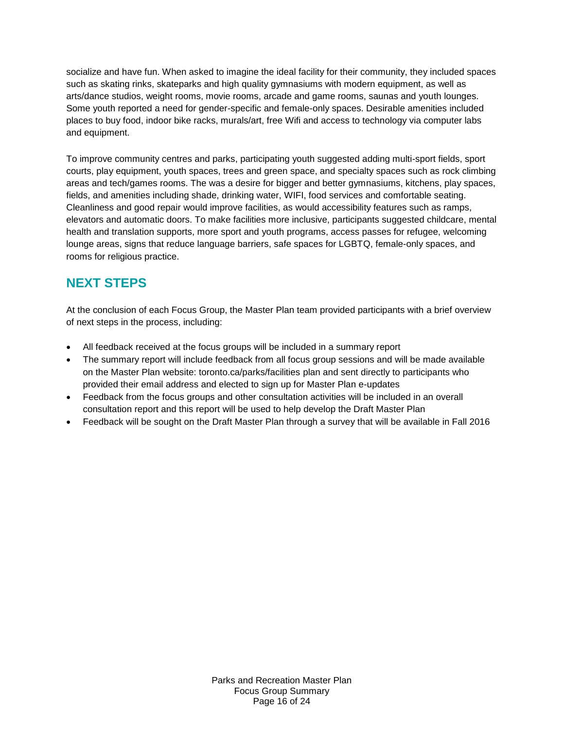socialize and have fun. When asked to imagine the ideal facility for their community, they included spaces such as skating rinks, skateparks and high quality gymnasiums with modern equipment, as well as arts/dance studios, weight rooms, movie rooms, arcade and game rooms, saunas and youth lounges. Some youth reported a need for gender-specific and female-only spaces. Desirable amenities included places to buy food, indoor bike racks, murals/art, free Wifi and access to technology via computer labs and equipment.

To improve community centres and parks, participating youth suggested adding multi-sport fields, sport courts, play equipment, youth spaces, trees and green space, and specialty spaces such as rock climbing areas and tech/games rooms. The was a desire for bigger and better gymnasiums, kitchens, play spaces, fields, and amenities including shade, drinking water, WIFI, food services and comfortable seating. Cleanliness and good repair would improve facilities, as would accessibility features such as ramps, elevators and automatic doors. To make facilities more inclusive, participants suggested childcare, mental health and translation supports, more sport and youth programs, access passes for refugee, welcoming lounge areas, signs that reduce language barriers, safe spaces for LGBTQ, female-only spaces, and rooms for religious practice.

# **NEXT STEPS**

At the conclusion of each Focus Group, the Master Plan team provided participants with a brief overview of next steps in the process, including:

- All feedback received at the focus groups will be included in a summary report
- The summary report will include feedback from all focus group sessions and will be made available on the Master Plan website: toronto.ca/parks/facilities plan and sent directly to participants who provided their email address and elected to sign up for Master Plan e-updates
- Feedback from the focus groups and other consultation activities will be included in an overall consultation report and this report will be used to help develop the Draft Master Plan
- Feedback will be sought on the Draft Master Plan through a survey that will be available in Fall 2016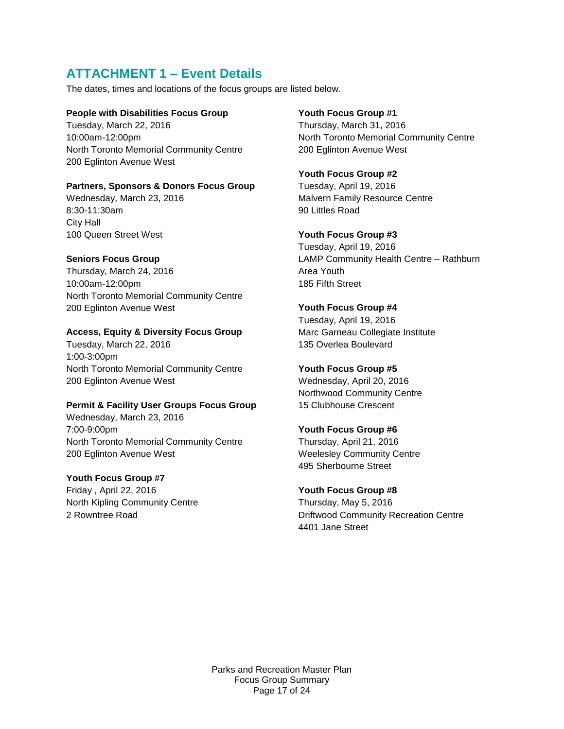# **ATTACHMENT 1 – Event Details**

The dates, times and locations of the focus groups are listed below.

#### **People with Disabilities Focus Group**

Tuesday, March 22, 2016 10:00am-12:00pm North Toronto Memorial Community Centre 200 Eglinton Avenue West

#### **Partners, Sponsors & Donors Focus Group**

Wednesday, March 23, 2016 8:30-11:30am City Hall 100 Queen Street West

#### **Seniors Focus Group**

Thursday, March 24, 2016 10:00am-12:00pm North Toronto Memorial Community Centre 200 Eglinton Avenue West

#### **Access, Equity & Diversity Focus Group**

Tuesday, March 22, 2016 1:00-3:00pm North Toronto Memorial Community Centre 200 Eglinton Avenue West

#### **Permit & Facility User Groups Focus Group**

Wednesday, March 23, 2016 7:00-9:00pm North Toronto Memorial Community Centre 200 Eglinton Avenue West

#### **Youth Focus Group #7**

Friday , April 22, 2016 North Kipling Community Centre 2 Rowntree Road

#### **Youth Focus Group #1**

Thursday, March 31, 2016 North Toronto Memorial Community Centre 200 Eglinton Avenue West

#### **Youth Focus Group #2**

Tuesday, April 19, 2016 Malvern Family Resource Centre 90 Littles Road

#### **Youth Focus Group #3**

Tuesday, April 19, 2016 LAMP Community Health Centre – Rathburn Area Youth 185 Fifth Street

#### **Youth Focus Group #4**

Tuesday, April 19, 2016 Marc Garneau Collegiate Institute 135 Overlea Boulevard

#### **Youth Focus Group #5**

Wednesday, April 20, 2016 Northwood Community Centre 15 Clubhouse Crescent

#### **Youth Focus Group #6**

Thursday, April 21, 2016 Weelesley Community Centre 495 Sherbourne Street

# **Youth Focus Group #8**

Thursday, May 5, 2016 Driftwood Community Recreation Centre 4401 Jane Street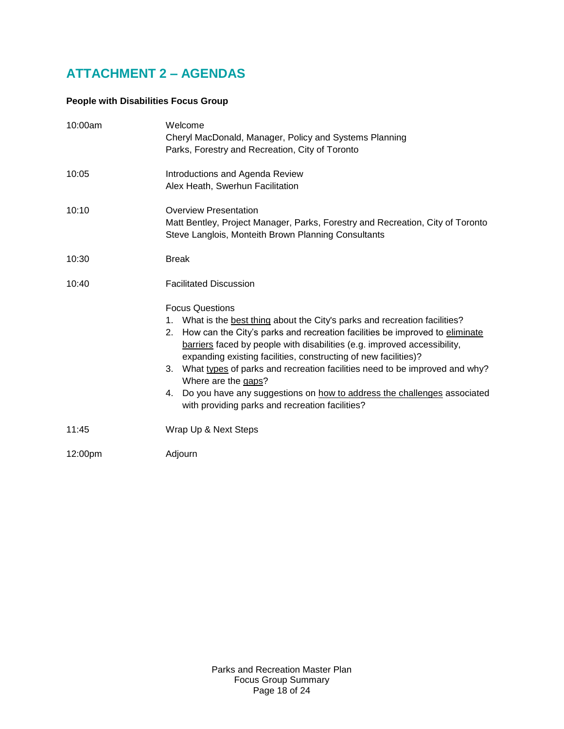# **ATTACHMENT 2 – AGENDAS**

### **People with Disabilities Focus Group**

| 10:00am | Welcome<br>Cheryl MacDonald, Manager, Policy and Systems Planning<br>Parks, Forestry and Recreation, City of Toronto                                                                                                                                                                                                                                                                                                                                                                                                                                                                        |  |
|---------|---------------------------------------------------------------------------------------------------------------------------------------------------------------------------------------------------------------------------------------------------------------------------------------------------------------------------------------------------------------------------------------------------------------------------------------------------------------------------------------------------------------------------------------------------------------------------------------------|--|
| 10:05   | Introductions and Agenda Review<br>Alex Heath, Swerhun Facilitation                                                                                                                                                                                                                                                                                                                                                                                                                                                                                                                         |  |
| 10:10   | <b>Overview Presentation</b><br>Matt Bentley, Project Manager, Parks, Forestry and Recreation, City of Toronto<br>Steve Langlois, Monteith Brown Planning Consultants                                                                                                                                                                                                                                                                                                                                                                                                                       |  |
| 10:30   | <b>Break</b>                                                                                                                                                                                                                                                                                                                                                                                                                                                                                                                                                                                |  |
| 10:40   | <b>Facilitated Discussion</b>                                                                                                                                                                                                                                                                                                                                                                                                                                                                                                                                                               |  |
|         | <b>Focus Questions</b><br>What is the best thing about the City's parks and recreation facilities?<br>1.<br>How can the City's parks and recreation facilities be improved to eliminate<br>2.<br>barriers faced by people with disabilities (e.g. improved accessibility,<br>expanding existing facilities, constructing of new facilities)?<br>What types of parks and recreation facilities need to be improved and why?<br>3.<br>Where are the gaps?<br>Do you have any suggestions on how to address the challenges associated<br>4.<br>with providing parks and recreation facilities? |  |
| 11:45   | Wrap Up & Next Steps                                                                                                                                                                                                                                                                                                                                                                                                                                                                                                                                                                        |  |
| 12:00pm | Adjourn                                                                                                                                                                                                                                                                                                                                                                                                                                                                                                                                                                                     |  |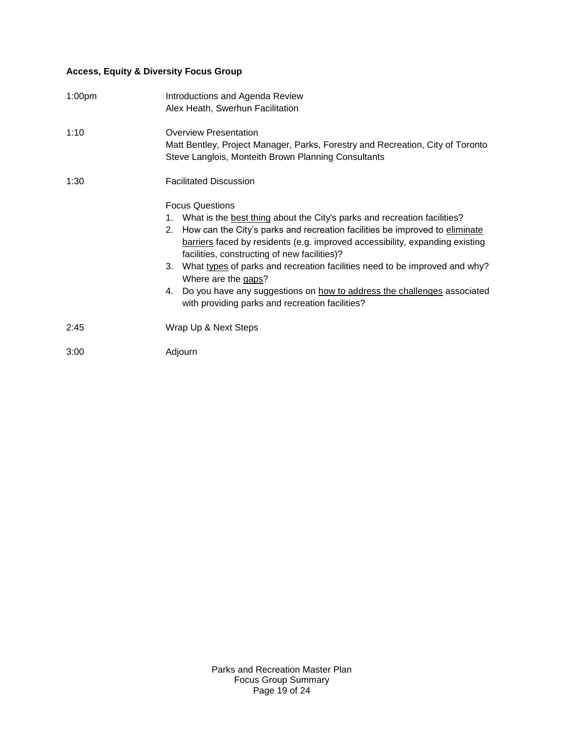# **Access, Equity & Diversity Focus Group**

| 1:00 <sub>pm</sub> | Introductions and Agenda Review<br>Alex Heath, Swerhun Facilitation                                                                                                                                                                                                                                                                                                                                                                                                                                                                                                                                        |  |
|--------------------|------------------------------------------------------------------------------------------------------------------------------------------------------------------------------------------------------------------------------------------------------------------------------------------------------------------------------------------------------------------------------------------------------------------------------------------------------------------------------------------------------------------------------------------------------------------------------------------------------------|--|
| 1:10               | <b>Overview Presentation</b><br>Matt Bentley, Project Manager, Parks, Forestry and Recreation, City of Toronto<br>Steve Langlois, Monteith Brown Planning Consultants                                                                                                                                                                                                                                                                                                                                                                                                                                      |  |
| 1:30               | <b>Facilitated Discussion</b><br><b>Focus Questions</b><br>What is the best thing about the City's parks and recreation facilities?<br>1.<br>How can the City's parks and recreation facilities be improved to eliminate<br>2.<br>barriers faced by residents (e.g. improved accessibility, expanding existing<br>facilities, constructing of new facilities)?<br>What types of parks and recreation facilities need to be improved and why?<br>3.<br>Where are the gaps?<br>4. Do you have any suggestions on how to address the challenges associated<br>with providing parks and recreation facilities? |  |
| 2:45               | Wrap Up & Next Steps                                                                                                                                                                                                                                                                                                                                                                                                                                                                                                                                                                                       |  |
| 3:00               | Adjourn                                                                                                                                                                                                                                                                                                                                                                                                                                                                                                                                                                                                    |  |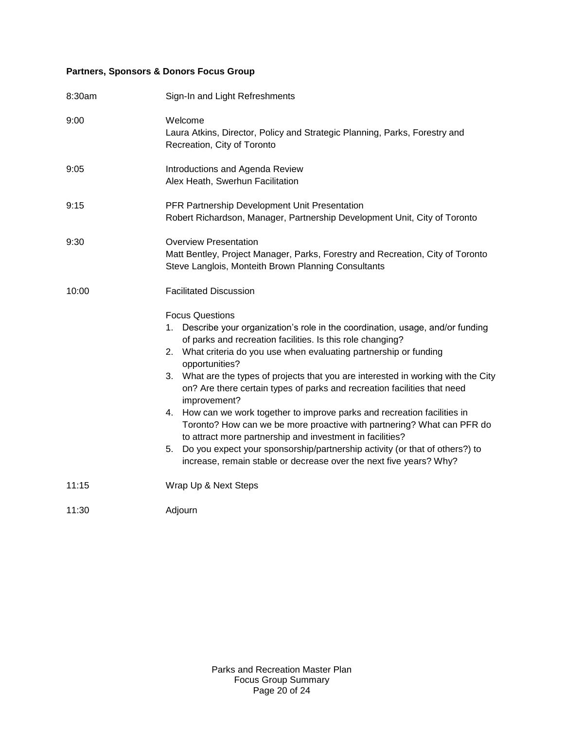### **Partners, Sponsors & Donors Focus Group**

| 8:30am | Sign-In and Light Refreshments                                                                                                                                                                                                                                                                                                                                                                                                                                                                                                                                                                                                                                                                                                                                                                                                         |  |
|--------|----------------------------------------------------------------------------------------------------------------------------------------------------------------------------------------------------------------------------------------------------------------------------------------------------------------------------------------------------------------------------------------------------------------------------------------------------------------------------------------------------------------------------------------------------------------------------------------------------------------------------------------------------------------------------------------------------------------------------------------------------------------------------------------------------------------------------------------|--|
| 9:00   | Welcome<br>Laura Atkins, Director, Policy and Strategic Planning, Parks, Forestry and<br>Recreation, City of Toronto                                                                                                                                                                                                                                                                                                                                                                                                                                                                                                                                                                                                                                                                                                                   |  |
| 9:05   | Introductions and Agenda Review<br>Alex Heath, Swerhun Facilitation                                                                                                                                                                                                                                                                                                                                                                                                                                                                                                                                                                                                                                                                                                                                                                    |  |
| 9:15   | PFR Partnership Development Unit Presentation<br>Robert Richardson, Manager, Partnership Development Unit, City of Toronto                                                                                                                                                                                                                                                                                                                                                                                                                                                                                                                                                                                                                                                                                                             |  |
| 9:30   | <b>Overview Presentation</b><br>Matt Bentley, Project Manager, Parks, Forestry and Recreation, City of Toronto<br>Steve Langlois, Monteith Brown Planning Consultants                                                                                                                                                                                                                                                                                                                                                                                                                                                                                                                                                                                                                                                                  |  |
| 10:00  | <b>Facilitated Discussion</b>                                                                                                                                                                                                                                                                                                                                                                                                                                                                                                                                                                                                                                                                                                                                                                                                          |  |
|        | <b>Focus Questions</b><br>Describe your organization's role in the coordination, usage, and/or funding<br>1.<br>of parks and recreation facilities. Is this role changing?<br>2. What criteria do you use when evaluating partnership or funding<br>opportunities?<br>3. What are the types of projects that you are interested in working with the City<br>on? Are there certain types of parks and recreation facilities that need<br>improvement?<br>How can we work together to improve parks and recreation facilities in<br>4.<br>Toronto? How can we be more proactive with partnering? What can PFR do<br>to attract more partnership and investment in facilities?<br>Do you expect your sponsorship/partnership activity (or that of others?) to<br>5.<br>increase, remain stable or decrease over the next five years? Why? |  |
| 11:15  | Wrap Up & Next Steps                                                                                                                                                                                                                                                                                                                                                                                                                                                                                                                                                                                                                                                                                                                                                                                                                   |  |
| 11:30  | Adjourn                                                                                                                                                                                                                                                                                                                                                                                                                                                                                                                                                                                                                                                                                                                                                                                                                                |  |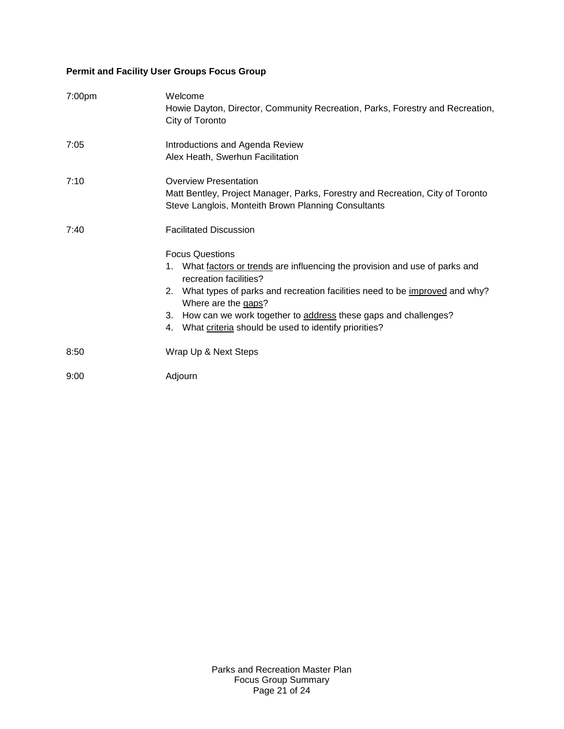## **Permit and Facility User Groups Focus Group**

| 7:00pm | Welcome<br>Howie Dayton, Director, Community Recreation, Parks, Forestry and Recreation,<br>City of Toronto                                                           |  |
|--------|-----------------------------------------------------------------------------------------------------------------------------------------------------------------------|--|
| 7:05   | Introductions and Agenda Review<br>Alex Heath, Swerhun Facilitation                                                                                                   |  |
| 7:10   | <b>Overview Presentation</b><br>Matt Bentley, Project Manager, Parks, Forestry and Recreation, City of Toronto<br>Steve Langlois, Monteith Brown Planning Consultants |  |
| 7:40   | <b>Facilitated Discussion</b>                                                                                                                                         |  |
|        | <b>Focus Questions</b>                                                                                                                                                |  |
|        | What factors or trends are influencing the provision and use of parks and<br>1.<br>recreation facilities?                                                             |  |
|        | What types of parks and recreation facilities need to be improved and why?<br>2.<br>Where are the gaps?                                                               |  |
|        | How can we work together to address these gaps and challenges?<br>3.                                                                                                  |  |
|        | What criteria should be used to identify priorities?<br>4.                                                                                                            |  |
| 8:50   | Wrap Up & Next Steps                                                                                                                                                  |  |
| 9:00   | Adjourn                                                                                                                                                               |  |

Parks and Recreation Master Plan Focus Group Summary Page 21 of 24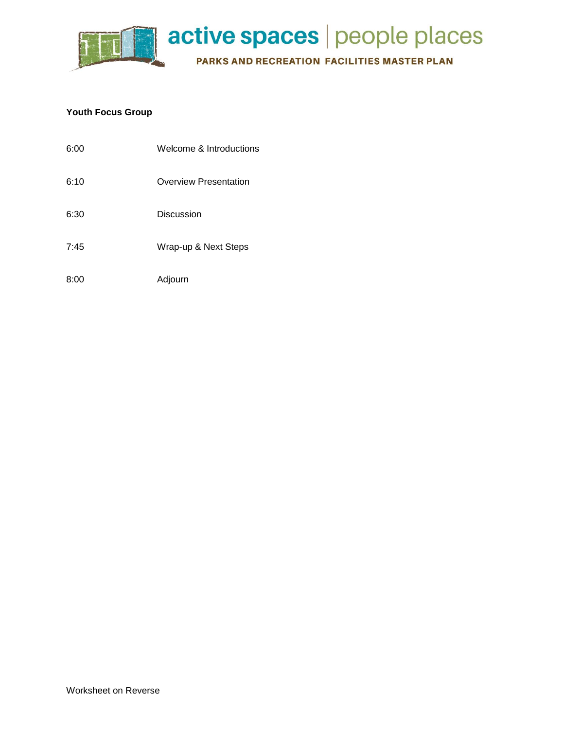

#### **Youth Focus Group**

| 6:00 | Welcome & Introductions |
|------|-------------------------|
| 6:10 | Overview Presentation   |
| 6:30 | Discussion              |
| 7:45 | Wrap-up & Next Steps    |
| 8:00 | Adjourn                 |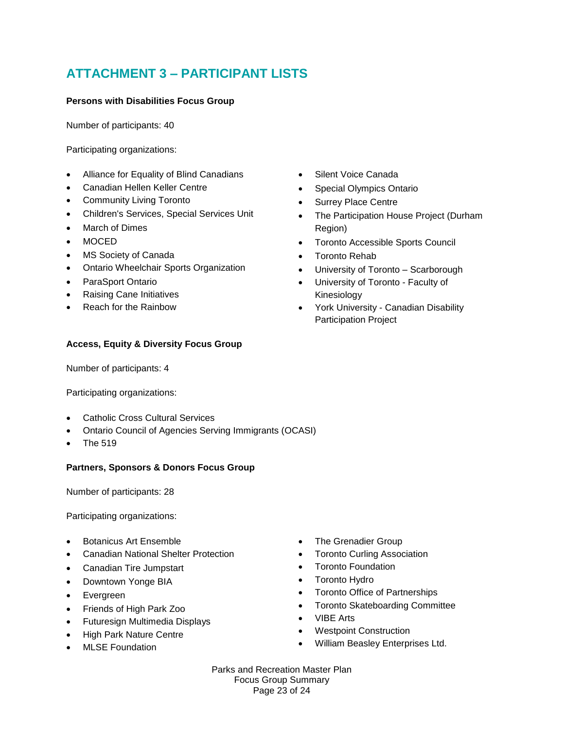# **ATTACHMENT 3 – PARTICIPANT LISTS**

#### **Persons with Disabilities Focus Group**

Number of participants: 40

Participating organizations:

- Alliance for Equality of Blind Canadians
- Canadian Hellen Keller Centre
- Community Living Toronto
- Children's Services, Special Services Unit
- March of Dimes
- **MOCED**
- MS Society of Canada
- Ontario Wheelchair Sports Organization
- ParaSport Ontario
- Raising Cane Initiatives
- Reach for the Rainbow

#### **Access, Equity & Diversity Focus Group**

Number of participants: 4

Participating organizations:

- Catholic Cross Cultural Services
- Ontario Council of Agencies Serving Immigrants (OCASI)
- The 519

#### **Partners, Sponsors & Donors Focus Group**

Number of participants: 28

Participating organizations:

- Botanicus Art Ensemble
- Canadian National Shelter Protection
- Canadian Tire Jumpstart
- Downtown Yonge BIA
- Evergreen
- Friends of High Park Zoo
- Futuresign Multimedia Displays
- High Park Nature Centre
- MLSE Foundation

Region)

• Silent Voice Canada • Special Olympics Ontario • Surrey Place Centre

Toronto Accessible Sports Council

• The Participation House Project (Durham

- Toronto Rehab
- University of Toronto Scarborough
- University of Toronto Faculty of Kinesiology
- York University Canadian Disability Participation Project

- The Grenadier Group
- Toronto Curling Association
- Toronto Foundation
- **•** Toronto Hydro
- Toronto Office of Partnerships
- Toronto Skateboarding Committee
- VIBE Arts
- Westpoint Construction
- William Beasley Enterprises Ltd.

Parks and Recreation Master Plan Focus Group Summary Page 23 of 24